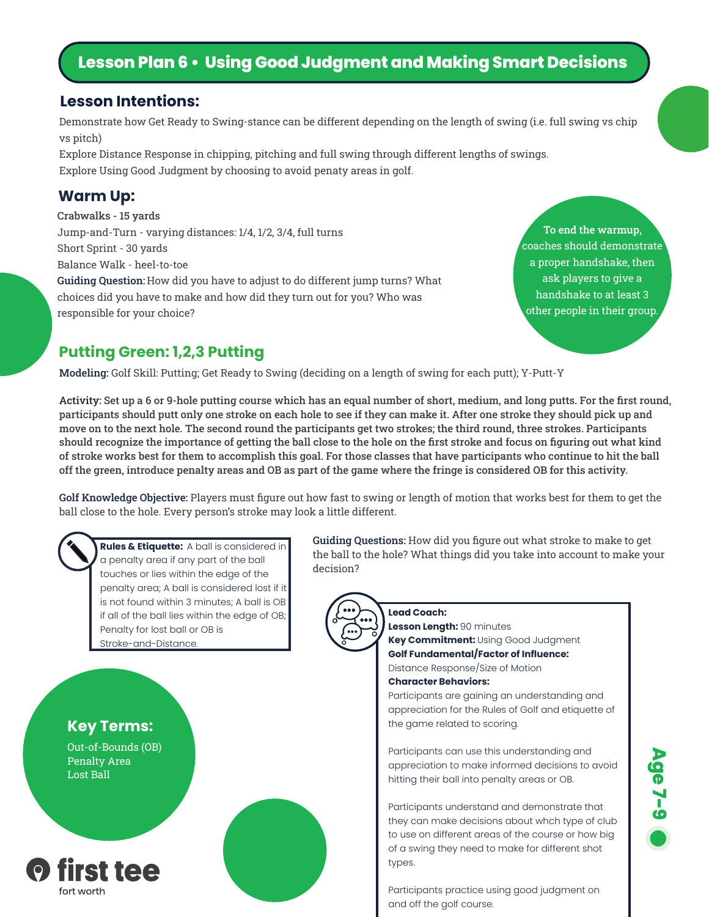# **Lesson Plan 6 • Using Good Judgment and Making Smart Decisions**

#### **Lesson Intentions:**

Demonstrate how Get Ready to Swing-stance can be different depending on the length of swing (i.e. full swing vs chip vs pitch)

Explore Distance Response in chipping, pitching and full swing through different lengths of swings. Explore Using Good Judgment by choosing to avoid penaty areas in golf.

#### **Warm Up:**

Crabwalks - 15 yards Jump-and-Turn - varying distances: 1/4, 1/2, 3/4, full turns Short Sprint - 30 yards Balance Walk - heel-to-toe Guiding Question: How did you have to adjust to do different jump turns? What choices did you have to make and how did they turn out for you? Who was responsible for your choice?

To end the warmup, coaches should demonstrate a proper handshake, then ask players to give a handshake to at least 3 other people in their group.

### **Putting Green: 1,2,3 Putting**

Modeling: Golf Skill: Putting; Get Ready to Swing (deciding on a length of swing for each putt); Y-Putt-Y

Activity: Set up a 6 or 9-hole putting course which has an equal number of short, medium, and long putts. For the first round, participants should putt only one stroke on each hole to see if they can make it. After one stroke they should pick up and move on to the next hole. The second round the participants get two strokes; the third round, three strokes. Participants should recognize the importance of getting the ball close to the hole on the first stroke and focus on figuring out what kind of stroke works best for them to accomplish this goal. For those classes that have participants who continue to hit the ball off the green, introduce penalty areas and OB as part of the game where the fringe is considered OB for this activity.

Golf Knowledge Objective: Players must figure out how fast to swing or length of motion that works best for them to get the ball close to the hole. Every person's stroke may look a little different.



**Rules & Etiquette:** A ball is considered in a penalty area if any part of the ball touches or lies within the edge of the penalty area; A ball is considered lost if it is not found within 3 minutes; A ball is OB if all of the ball lies within the edge of OB; Penalty for lost ball or OB is Stroke-and-Distance.



decision?

**Lead Coach: Lesson Length:** 90 minutes

**Key Commitment:** Using Good Judgment **Golf Fundamental/Factor of Influence:**  Distance Response/Size of Motion **Character Behaviors:**

Guiding Questions: How did you figure out what stroke to make to get the ball to the hole? What things did you take into account to make your

> Participants are gaining an understanding and appreciation for the Rules of Golf and etiquette of the game related to scoring.

> Participants can use this understanding and appreciation to make informed decisions to avoid hitting their ball into penalty areas or OB.

> Participants understand and demonstrate that they can make decisions about whch type of club to use on different areas of the course or how big of a swing they need to make for different shot types.

Participants practice using good judgment on and off the golf course.



**Key Terms:**

Out-of-Bounds (OB) Penalty Area Lost Ball